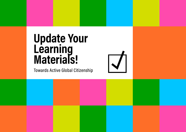## **Update Your Learning Materials!**

Towards Active Global Citizenship

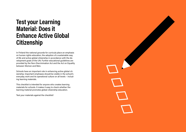### **Test your Learning Material: Does it Enhance Active Global Citizenship**

In Finland the national grounds for curricula place an emphasis on human rights education, the adoption of a sustainable way of life and active global citizenship in accordance with [the de](http://www.ykliitto.fi/yk70v/yk/kehitys/post-2015)[velopment goals of the UN.](http://www.ykliitto.fi/yk70v/yk/kehitys/post-2015) Further educational guidelines are provided by [the Non-Discrimination Act](http://www.yhdenvertaisuus.fi/) and [the Act on Equality](https://www.tasa-arvo.fi/tasa-arvolaki-pahkinankuoressa)  [between Women and Men](https://www.tasa-arvo.fi/tasa-arvolaki-pahkinankuoressa).

Schools have an important role in enhancing active global citizenship. Important emphases should be visible in the school's everyday work and its operational culture on all levels – including learning materials.

This checklist is intended for anyone who creates learning materials for schools. It makes it easy to check whether the learning material promotes global citizenship education.

Test your materials against the checklist!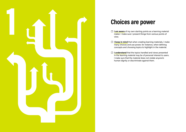

### **Choices are power**

- **☐ I am aware** of my own starting points as a learning material maker. I make sure I present things from various points of view.
- **☐ I keep in mind** that when creating learning materials, I make many choices and use power, for instance, when defining concepts and choosing topics to highlight in the material.
- **☐ I understand** that the topics handled and views presented in the learning material may be of personal interest to users. I make sure that the material does not violate anyone's human dignity or discriminate against them.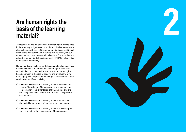## **Are human rights the basis of the learning material?**

The respect for and advancement of human rights are included in the statutory obligations of schools, and the learning materi als must support them. In Finland human rights are built into all areas of the new curriculum, including into its values, the cur riculum subjects and the operational culture. The objective is to adopt the human rights based approach (HRBA) in all activities of the school community.

Human rights are the basic rights belonging to all people. They have been defined in international human rights treaties to which Finland is committed. At the core of the human rights based approach is the idea of equality and inviolability of hu man dignity. The purpose of human rights is to secure the basic conditions for a life worth living.

- **☐ I will make sure** that the learning material increases the students' knowledge of human rights and advocates the comprehensive implementation of human rights and chil dren's rights at schools in the form of stories, images and assignments.
- **☐ I will make sure** that the learning material handles the rights of different groups of humans in an equal manner.
- □ **I will make sure** that the learning material provides opportunities to act for the advancement of human rights.

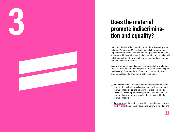## **Does the material promote indiscrimina - 3 tion and equality?**

In Finland the Non-Discrimination Act and the Act on Equality between Women and Men obligate schools to promote the implementation of indiscrimination and equality and draw up a school-specific plan. However, indiscrimination and equality will only become true if they are actively implemented in all interac tion and activities at schools.

Learning materials should support and promote the implemen tation of indiscrimination and equality. They should also respect the diversity of the members of the school community and encourage respectful encounters between people.

- **☐ I will make sure** that diversity of the members of the school community in all its forms is taken into consideration in the learning material, leaving no member of the community invisible. I will comprehensively promote diversity in the text content, images, examples and assignments used in the learning material.
- **☐ I am aware** of the society's unwritten rules, i.e. social norms. I will highlight and actively dismantle narrow-minded norms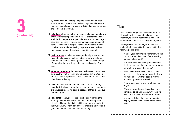by introducing a wide range of people with diverse characteristics. I will ensure that the learning material does not reinforce stereotypes or present individual people or groups of people in a biased way.

- **☐ I shall pay** attention to the way in which I depict people who are in a vulnerable position or in threat of discrimination. I shall depict people in a respectful manner without exaggerating their distress or turning them into passive objects of action. I shall depict people as active participants of their own lives and societies. I will give people space to show themselves through their diverse identities and roles.
- **☐ I will promote** equality between genders by ensuring that the material does not reinforce a biased view of different genders and expressions of gender. I will use a wide range of examples that positively reflect on the diversity of genders.
- **☐ When talking about** the relationships between nations and cultures, I will not present Finland, Europe or the Western World as a more special or better place than others, neither directly nor indirectly.
- **☐ I will not racialise** the persons handled in the learning material. I shall avoid resorting to presumptions, stereotypes or prejudices regarding people because of their skin colour or ethnicity, etc.
- **☐ I shall make** language-conscious choices regarding the learning material. I shall take into account the linguistic diversity, different linguistic facilities and backgrounds of the students. I will highlight different linguistic abilities and guide the learners to use them for learning.

#### **Tips:**

- 1. Read the learning material in different roles. How will the learning material appear, for instance, to a white heterosexual male, an elderly Roma female or a transgender youth?
- 2. When you use text or images to portray a culture that is unfamiliar to you, consider the following questions:
	- What is your personal relationship with the country or people whose life the learning material talks about?
	- Is the text based on life experienced and lived, my own imagination or general views on what life is like in that place?
	- Have the representatives of the culture been heard in the preparation of the learning material? Have they been given the opportunity to comment on it?
	- From whose point of view are things portrayed?
	- Who are the active parties and who are portrayed as being passive, with their life events the result of the actions of others?
	- In what light does the learning material display people, their lives and their homeland?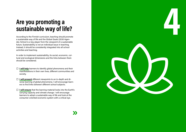## **Are you promoting a sustainable way of life?**

According to the Finnish curriculum, teaching should promote a sustainable way of life and the Global Goals (2030 Agen da). School is a key player from the viewpoint of a sustainable future. Sustainability is not an individual issue in teaching. Instead, it should be consistently integrated into all school activities and teaching.

In order to implement sustainability, its social, economic, cul tural and ecological dimensions and the links between them should be considered.

- **☐ I will help** learners to identify global phenomena and their manifestations in their own lives, different communities and society.
- □ **I will present** different viewpoints to an in-depth and diverse learning of global phenomena. I will encourage learn ers to find links between different school subjects.
- **☐ I will ensure** that the learning material looks into the Earth's carrying capacity and climate change. I will encourage learners to adopt a sustainable way of life and look at the consumer-oriented economic system with a critical eye.

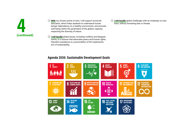

- **☐ With** my chosen points of view, I will support ecosocial education, which helps students to understand human beings' dependency on a healthy environment, and promote well-being within the parameters of the globe's capacity, respecting the diversity of nature.
- **☐ I will handle** global issues, including conflicts and disagreements, in a manner that advocates peace and human rights. Peaceful coexistence is a precondition of the implementation of sustainability.
- **☐ I will handle** global challenges with an emphasis on solutions, without fomenting fear or threats.

#### **Agenda 2030: Sustainable Development Goals**

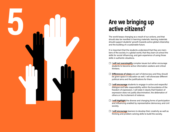

# **Are we bringing up**

The world keeps changing as a result of our actions, and that should also be manifest in learning materials. learning materials should support students' growth towards active global citizenship and the building of a sustainable future.

It is important that the students understand that they are mem bers of the society in a global world, that they learn at school the skills for social influencing, and gain experience of using those skills in authentic situations.

- **☐ I will not oversimplify** complex issues but rather encourage students to become active information-seekers and critical thinkers.
- **☐ Differences of views** are part of democracy and they should be given space in education as well. I will showcase different political aims and the justifications for them.
- **☐ I will encourage** students to engage in active and respectful dialogue and take responsibility within the boundaries of the freedom of expression. I will state it clearly that freedom of expression does not justify discrimination, the defamation of others or the incitement of violence.
- **☐ I will highlight** the diverse and changing forms of participation and influencing enabled by representative democracy and civil society.
- **☐ I will encourage** learners to develop their creativity as well as thinking and problem-solving skills to build the society.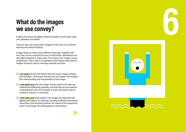## **What do the images we use convey?**

Images and visual messages influence people's world views, opin ions, attitudes and beliefs.

They are also very memorable. Images for their part can enhance learning and critical thinking.

Images always contain many different meanings. Together with text, they can be a powerful source of information. Illustrations can also affect students in many ways. The choice of an image is never insignificant. This is why it is essential to think about what types of images should be used in learning materials and how.

- **☐ I am aware** of the information that the chosen image includes and excludes. I will ensure that the text and caption text support the understanding and interpretation of the image.
- **☐ I will make sure** that the image choices made in the learning material are sufficiently versatile, and that they do not reinforce a stereotypical view of the people or topic discussed (culture, continent, events or a situation).
- **☐ I will make sure** that people in the images are depicted with dignity and respect for diversity, including sufficient information about them (the shooting location, the names of the people fea tured in the image, the photographer's information).

**6**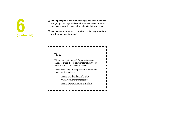- **☐ I shall pay special attention** to images depicting minorities and groups in danger of discrimination and make sure that the images show them as active actors in their own lives. □ **I shall pay special attention** to images depicting minorities and groups in danger of discrimination and make sure that the images show them as active actors in their own lives.<br>□ **Lam aware** of the symbols contained b
- way they can be interpreted. **(continued)**

 $\mathbf{I}$ 

| Tips: |                                                                                                                                       |
|-------|---------------------------------------------------------------------------------------------------------------------------------------|
|       | Where can I get images? Organisations are<br>happy to share their picture materials with text-<br>book-makers. Don't hesitate to ask! |
|       | You can also acquire images from international<br>image banks, such as:                                                               |
|       | www.unmultimedia.org/photo/                                                                                                           |
|       | www.unicef.org/photography/                                                                                                           |
|       | www.unhcr.org/media-centre.html                                                                                                       |